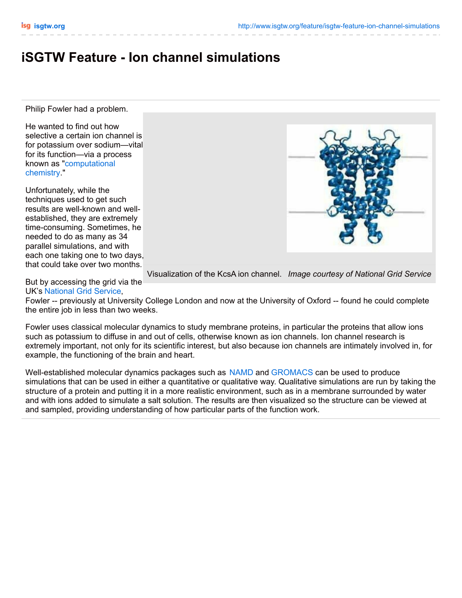## **iSGTW Feature - Ion channel simulations**

Philip Fowler had a problem.

He wanted to find out how selective a certain ion channel is for potassium over sodium—vital for its function—via a process known as ["computational](http://www.dandrollette.com/p_magazines.php?id_mags=17) chemistry."

Unfortunately, while the techniques used to get such results are well-known and wellestablished, they are extremely time-consuming. Sometimes, he needed to do as many as 34 parallel simulations, and with each one taking one to two days, that could take over two months.

But by accessing the grid via the UK's [National](http://www.grid-support.ac.uk/) Grid Service,



Visualization of the KcsA ion channel. *Image courtesy of National Grid Service*

Fowler -- previously at University College London and now at the University of Oxford -- found he could complete the entire job in less than two weeks.

Fowler uses classical molecular dynamics to study membrane proteins, in particular the proteins that allow ions such as potassium to diffuse in and out of cells, otherwise known as ion channels. Ion channel research is extremely important, not only for its scientific interest, but also because ion channels are intimately involved in, for example, the functioning of the brain and heart.

Well-established molecular dynamics packages such as [NAMD](http://www.ks.uiuc.edu/Research/namd/) and [GROMACS](http://www.gromacs.org/) can be used to produce simulations that can be used in either a quantitative or qualitative way. Qualitative simulations are run by taking the structure of a protein and putting it in a more realistic environment, such as in a membrane surrounded by water and with ions added to simulate a salt solution. The results are then visualized so the structure can be viewed at and sampled, providing understanding of how particular parts of the function work.